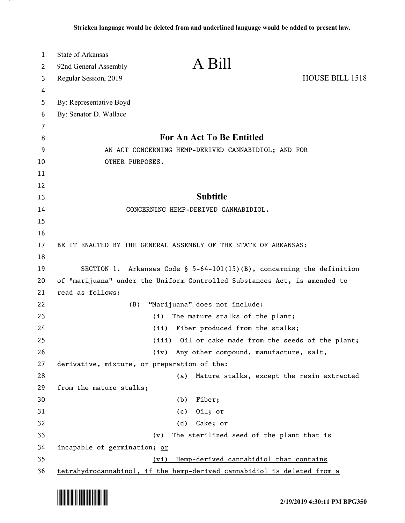| $\mathbf{1}$ | <b>State of Arkansas</b><br>A Bill                                        |  |
|--------------|---------------------------------------------------------------------------|--|
| 2            | 92nd General Assembly                                                     |  |
| 3            | HOUSE BILL 1518<br>Regular Session, 2019                                  |  |
| 4            |                                                                           |  |
| 5            | By: Representative Boyd                                                   |  |
| 6            | By: Senator D. Wallace                                                    |  |
| 7            |                                                                           |  |
| 8            | <b>For An Act To Be Entitled</b>                                          |  |
| 9            | AN ACT CONCERNING HEMP-DERIVED CANNABIDIOL; AND FOR                       |  |
| 10           | OTHER PURPOSES.                                                           |  |
| 11           |                                                                           |  |
| 12           |                                                                           |  |
| 13           | <b>Subtitle</b>                                                           |  |
| 14           | CONCERNING HEMP-DERIVED CANNABIDIOL.                                      |  |
| 15           |                                                                           |  |
| 16           |                                                                           |  |
| 17           | BE IT ENACTED BY THE GENERAL ASSEMBLY OF THE STATE OF ARKANSAS:           |  |
| 18           |                                                                           |  |
| 19           | SECTION 1. Arkansas Code § $5-64-101(15)$ (B), concerning the definition  |  |
| 20           | of "marijuana" under the Uniform Controlled Substances Act, is amended to |  |
| 21           | read as follows:                                                          |  |
| 22           | "Marijuana" does not include:<br>(B)                                      |  |
| 23           | The mature stalks of the plant;<br>(i)                                    |  |
| 24           | (ii)<br>Fiber produced from the stalks;                                   |  |
| 25           | (iii) Oil or cake made from the seeds of the plant;                       |  |
| 26           | (iv) Any other compound, manufacture, salt,                               |  |
| 27           | derivative, mixture, or preparation of the:                               |  |
| 28           | Mature stalks, except the resin extracted<br>(a)                          |  |
| 29           | from the mature stalks;                                                   |  |
| 30           | Fiber;<br>(b)                                                             |  |
| 31           | Oil; or<br>(c)                                                            |  |
| 32           | Cake; or<br>(d)                                                           |  |
| 33           | The sterilized seed of the plant that is<br>(v)                           |  |
| 34           | incapable of germination; or                                              |  |
| 35           | Hemp-derived cannabidiol that contains<br>(vi)                            |  |
| 36           | tetrahydrocannabinol, if the hemp-derived cannabidiol is deleted from a   |  |